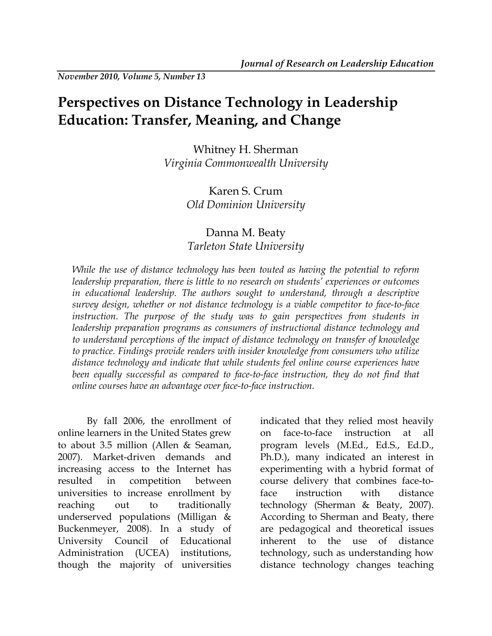*November 2010, Volume 5, Number 13* 

# **Perspectives on Distance Technology in Leadership Education: Transfer, Meaning, and Change**

Whitney H. Sherman *Virginia Commonwealth University* 

# Karen S. Crum *Old Dominion University*

# Danna M. Beaty *Tarleton State University*

*While the use of distance technology has been touted as having the potential to reform leadership preparation, there is little to no research on students' experiences or outcomes in educational leadership. The authors sought to understand, through a descriptive survey design, whether or not distance technology is a viable competitor to face-to-face*  instruction. The purpose of the study was to gain perspectives from students in *leadership preparation programs as consumers of instructional distance technology and to understand perceptions of the impact of distance technology on transfer of knowledge to practice. Findings provide readers with insider knowledge from consumers who utilize distance technology and indicate that while students feel online course experiences have been equally successful as compared to face-to-face instruction, they do not find that online courses have an advantage over face-to-face instruction.* 

By fall 2006, the enrollment of online learners in the United States grew to about 3.5 million (Allen & Seaman, 2007). Market-driven demands and increasing access to the Internet has resulted in competition between universities to increase enrollment by reaching out to traditionally underserved populations (Milligan & Buckenmeyer, 2008). In a study of University Council of Educational Administration (UCEA) institutions, though the majority of universities

indicated that they relied most heavily on face-to-face instruction at all program levels (M.Ed., Ed.S., Ed.D., Ph.D.), many indicated an interest in experimenting with a hybrid format of course delivery that combines face-toface instruction with distance technology (Sherman & Beaty, 2007). According to Sherman and Beaty, there are pedagogical and theoretical issues inherent to the use of distance technology, such as understanding how distance technology changes teaching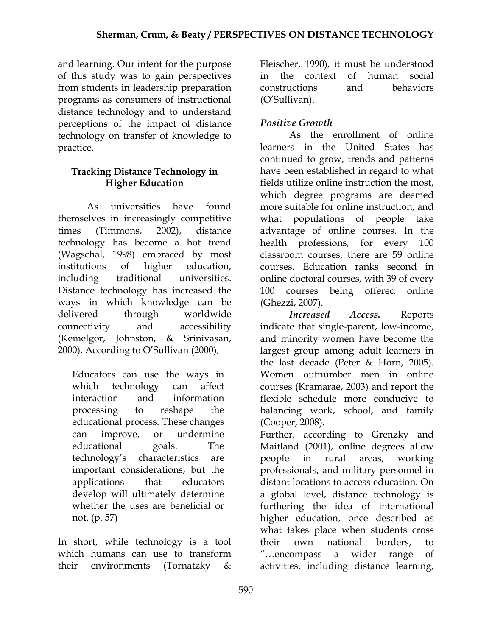and learning. Our intent for the purpose of this study was to gain perspectives from students in leadership preparation programs as consumers of instructional distance technology and to understand perceptions of the impact of distance technology on transfer of knowledge to practice.

# **Tracking Distance Technology in Higher Education**

 As universities have found themselves in increasingly competitive times (Timmons, 2002), distance technology has become a hot trend (Wagschal, 1998) embraced by most institutions of higher education, including traditional universities. Distance technology has increased the ways in which knowledge can be delivered through worldwide connectivity and accessibility (Kemelgor, Johnston, & Srinivasan, 2000). According to O'Sullivan (2000),

Educators can use the ways in which technology can affect interaction and information processing to reshape the educational process. These changes can improve, or undermine educational goals. The technology's characteristics are important considerations, but the applications that educators develop will ultimately determine whether the uses are beneficial or not. (p. 57)

In short, while technology is a tool which humans can use to transform their environments (Tornatzky &

Fleischer, 1990), it must be understood in the context of human social constructions and behaviors (O'Sullivan).

# *Positive Growth*

As the enrollment of online learners in the United States has continued to grow, trends and patterns have been established in regard to what fields utilize online instruction the most, which degree programs are deemed more suitable for online instruction, and what populations of people take advantage of online courses. In the health professions, for every 100 classroom courses, there are 59 online courses. Education ranks second in online doctoral courses, with 39 of every 100 courses being offered online (Ghezzi, 2007).

*Increased Access.* Reports indicate that single-parent, low-income, and minority women have become the largest group among adult learners in the last decade (Peter & Horn, 2005). Women outnumber men in online courses (Kramarae, 2003) and report the flexible schedule more conducive to balancing work, school, and family (Cooper, 2008).

Further, according to Grenzky and Maitland (2001), online degrees allow people in rural areas, working professionals, and military personnel in distant locations to access education. On a global level, distance technology is furthering the idea of international higher education, once described as what takes place when students cross their own national borders, to "…encompass a wider range of activities, including distance learning,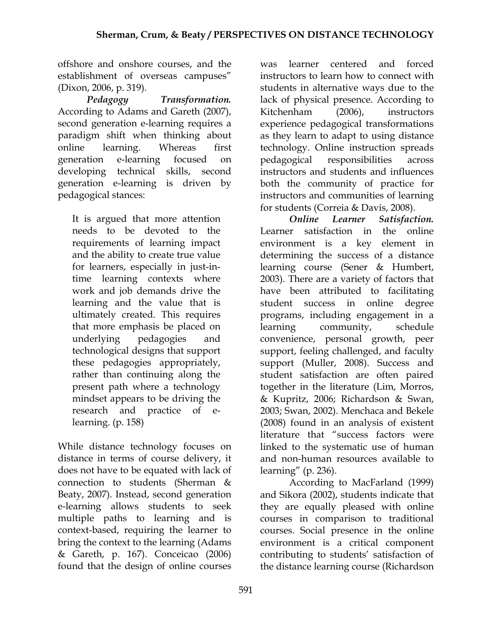offshore and onshore courses, and the establishment of overseas campuses" (Dixon, 2006, p. 319).

*Pedagogy Transformation.*  According to Adams and Gareth (2007), second generation e-learning requires a paradigm shift when thinking about online learning. Whereas first generation e-learning focused on developing technical skills, second generation e-learning is driven by pedagogical stances:

It is argued that more attention needs to be devoted to the requirements of learning impact and the ability to create true value for learners, especially in just-intime learning contexts where work and job demands drive the learning and the value that is ultimately created. This requires that more emphasis be placed on underlying pedagogies and technological designs that support these pedagogies appropriately, rather than continuing along the present path where a technology mindset appears to be driving the research and practice of elearning. (p. 158)

While distance technology focuses on distance in terms of course delivery, it does not have to be equated with lack of connection to students (Sherman & Beaty, 2007). Instead, second generation e-learning allows students to seek multiple paths to learning and is context-based, requiring the learner to bring the context to the learning (Adams & Gareth, p. 167). Conceicao (2006) found that the design of online courses

was learner centered and forced instructors to learn how to connect with students in alternative ways due to the lack of physical presence. According to Kitchenham (2006), instructors experience pedagogical transformations as they learn to adapt to using distance technology. Online instruction spreads pedagogical responsibilities across instructors and students and influences both the community of practice for instructors and communities of learning for students (Correia & Davis, 2008).

 *Online Learner Satisfaction.*  Learner satisfaction in the online environment is a key element in determining the success of a distance learning course (Sener & Humbert, 2003). There are a variety of factors that have been attributed to facilitating student success in online degree programs, including engagement in a learning community, schedule convenience, personal growth, peer support, feeling challenged, and faculty support (Muller, 2008). Success and student satisfaction are often paired together in the literature (Lim, Morros, & Kupritz, 2006; Richardson & Swan, 2003; Swan, 2002). Menchaca and Bekele (2008) found in an analysis of existent literature that "success factors were linked to the systematic use of human and non-human resources available to learning" (p. 236).

According to MacFarland (1999) and Sikora (2002), students indicate that they are equally pleased with online courses in comparison to traditional courses. Social presence in the online environment is a critical component contributing to students' satisfaction of the distance learning course (Richardson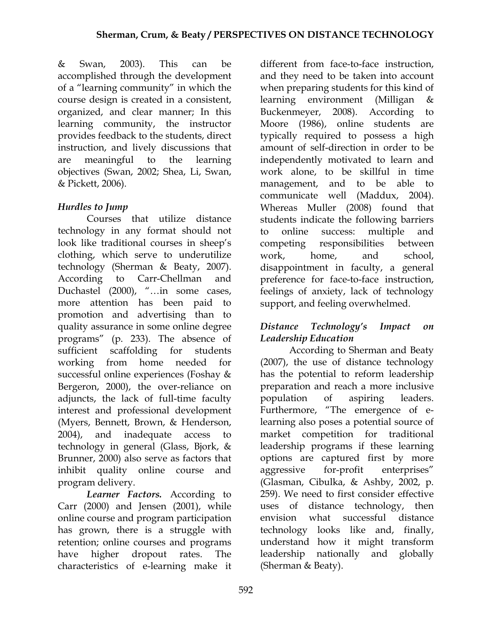& Swan, 2003). This can be accomplished through the development of a "learning community" in which the course design is created in a consistent, organized, and clear manner; In this learning community, the instructor provides feedback to the students, direct instruction, and lively discussions that are meaningful to the learning objectives (Swan, 2002; Shea, Li, Swan, & Pickett, 2006).

# *Hurdles to Jump*

Courses that utilize distance technology in any format should not look like traditional courses in sheep's clothing, which serve to underutilize technology (Sherman & Beaty, 2007). According to Carr-Chellman and Duchastel (2000), "…in some cases, more attention has been paid to promotion and advertising than to quality assurance in some online degree programs" (p. 233). The absence of sufficient scaffolding for students working from home needed for successful online experiences (Foshay & Bergeron, 2000), the over-reliance on adjuncts, the lack of full-time faculty interest and professional development (Myers, Bennett, Brown, & Henderson, 2004), and inadequate access to technology in general (Glass, Bjork, & Brunner, 2000) also serve as factors that inhibit quality online course and program delivery.

*Learner Factors.* According to Carr (2000) and Jensen (2001), while online course and program participation has grown, there is a struggle with retention; online courses and programs have higher dropout rates. The characteristics of e-learning make it

different from face-to-face instruction, and they need to be taken into account when preparing students for this kind of learning environment (Milligan & Buckenmeyer, 2008). According to Moore (1986), online students are typically required to possess a high amount of self-direction in order to be independently motivated to learn and work alone, to be skillful in time management, and to be able to communicate well (Maddux, 2004). Whereas Muller (2008) found that students indicate the following barriers to online success: multiple and competing responsibilities between work, home, and school, disappointment in faculty, a general preference for face-to-face instruction, feelings of anxiety, lack of technology support, and feeling overwhelmed.

## *Distance Technology's Impact on Leadership Education*

According to Sherman and Beaty (2007), the use of distance technology has the potential to reform leadership preparation and reach a more inclusive population of aspiring leaders. Furthermore, "The emergence of elearning also poses a potential source of market competition for traditional leadership programs if these learning options are captured first by more aggressive for-profit enterprises" (Glasman, Cibulka, & Ashby, 2002, p. 259). We need to first consider effective uses of distance technology, then envision what successful distance technology looks like and, finally, understand how it might transform leadership nationally and globally (Sherman & Beaty).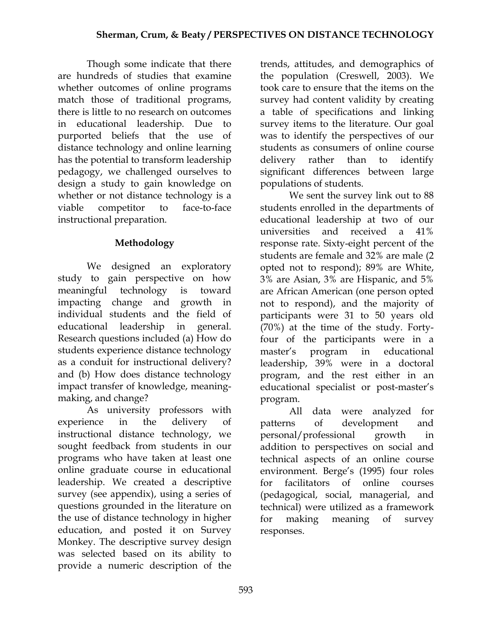Though some indicate that there are hundreds of studies that examine whether outcomes of online programs match those of traditional programs, there is little to no research on outcomes in educational leadership. Due to purported beliefs that the use of distance technology and online learning has the potential to transform leadership pedagogy, we challenged ourselves to design a study to gain knowledge on whether or not distance technology is a viable competitor to face-to-face instructional preparation.

# **Methodology**

We designed an exploratory study to gain perspective on how meaningful technology is toward impacting change and growth in individual students and the field of educational leadership in general. Research questions included (a) How do students experience distance technology as a conduit for instructional delivery? and (b) How does distance technology impact transfer of knowledge, meaningmaking, and change?

As university professors with experience in the delivery of instructional distance technology, we sought feedback from students in our programs who have taken at least one online graduate course in educational leadership. We created a descriptive survey (see appendix), using a series of questions grounded in the literature on the use of distance technology in higher education, and posted it on Survey Monkey. The descriptive survey design was selected based on its ability to provide a numeric description of the

trends, attitudes, and demographics of the population (Creswell, 2003). We took care to ensure that the items on the survey had content validity by creating a table of specifications and linking survey items to the literature. Our goal was to identify the perspectives of our students as consumers of online course delivery rather than to identify significant differences between large populations of students.

We sent the survey link out to 88 students enrolled in the departments of educational leadership at two of our universities and received a 41% response rate. Sixty-eight percent of the students are female and 32% are male (2 opted not to respond); 89% are White, 3% are Asian, 3% are Hispanic, and 5% are African American (one person opted not to respond), and the majority of participants were 31 to 50 years old (70%) at the time of the study. Fortyfour of the participants were in a master's program in educational leadership, 39% were in a doctoral program, and the rest either in an educational specialist or post-master's program.

All data were analyzed for patterns of development and personal/professional growth in addition to perspectives on social and technical aspects of an online course environment. Berge's (1995) four roles for facilitators of online courses (pedagogical, social, managerial, and technical) were utilized as a framework for making meaning of survey responses.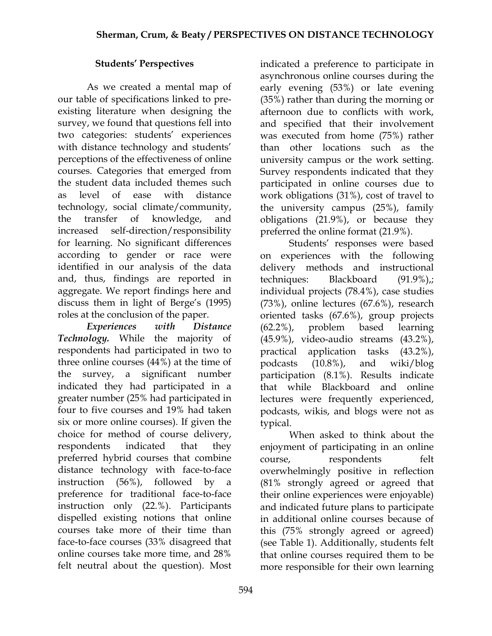# **Students' Perspectives**

 As we created a mental map of our table of specifications linked to preexisting literature when designing the survey, we found that questions fell into two categories: students' experiences with distance technology and students' perceptions of the effectiveness of online courses. Categories that emerged from the student data included themes such as level of ease with distance technology, social climate/community, the transfer of knowledge, and increased self-direction/responsibility for learning. No significant differences according to gender or race were identified in our analysis of the data and, thus, findings are reported in aggregate. We report findings here and discuss them in light of Berge's (1995) roles at the conclusion of the paper.

 *Experiences with Distance Technology.* While the majority of respondents had participated in two to three online courses (44%) at the time of the survey, a significant number indicated they had participated in a greater number (25% had participated in four to five courses and 19% had taken six or more online courses). If given the choice for method of course delivery, respondents indicated that they preferred hybrid courses that combine distance technology with face-to-face instruction (56%), followed by a preference for traditional face-to-face instruction only (22.%). Participants dispelled existing notions that online courses take more of their time than face-to-face courses (33% disagreed that online courses take more time, and 28% felt neutral about the question). Most

indicated a preference to participate in asynchronous online courses during the early evening (53%) or late evening (35%) rather than during the morning or afternoon due to conflicts with work, and specified that their involvement was executed from home (75%) rather than other locations such as the university campus or the work setting. Survey respondents indicated that they participated in online courses due to work obligations (31%), cost of travel to the university campus (25%), family obligations (21.9%), or because they preferred the online format (21.9%).

Students' responses were based on experiences with the following delivery methods and instructional techniques: Blackboard (91.9%),; individual projects (78.4%), case studies (73%), online lectures (67.6%), research oriented tasks (67.6%), group projects (62.2%), problem based learning (45.9%), video-audio streams (43.2%), practical application tasks (43.2%), podcasts (10.8%), and wiki/blog participation (8.1%). Results indicate that while Blackboard and online lectures were frequently experienced, podcasts, wikis, and blogs were not as typical.

When asked to think about the enjoyment of participating in an online course, respondents felt overwhelmingly positive in reflection (81% strongly agreed or agreed that their online experiences were enjoyable) and indicated future plans to participate in additional online courses because of this (75% strongly agreed or agreed) (see Table 1). Additionally, students felt that online courses required them to be more responsible for their own learning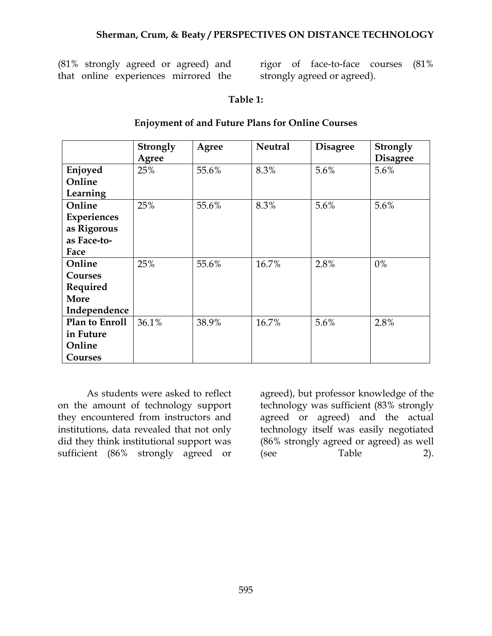(81% strongly agreed or agreed) and that online experiences mirrored the

rigor of face-to-face courses (81% strongly agreed or agreed).

#### **Table 1:**

|                | Strongly | Agree | <b>Neutral</b> | <b>Disagree</b> | <b>Strongly</b> |
|----------------|----------|-------|----------------|-----------------|-----------------|
|                | Agree    |       |                |                 | <b>Disagree</b> |
| Enjoyed        | 25%      | 55.6% | 8.3%           | 5.6%            | $5.6\%$         |
| Online         |          |       |                |                 |                 |
| Learning       |          |       |                |                 |                 |
| Online         | 25%      | 55.6% | 8.3%           | 5.6%            | 5.6%            |
| Experiences    |          |       |                |                 |                 |
| as Rigorous    |          |       |                |                 |                 |
| as Face-to-    |          |       |                |                 |                 |
| Face           |          |       |                |                 |                 |
| Online         | 25%      | 55.6% | 16.7%          | 2.8%            | $0\%$           |
| <b>Courses</b> |          |       |                |                 |                 |
| Required       |          |       |                |                 |                 |
| More           |          |       |                |                 |                 |
| Independence   |          |       |                |                 |                 |
| Plan to Enroll | 36.1%    | 38.9% | 16.7%          | 5.6%            | 2.8%            |
| in Future      |          |       |                |                 |                 |
| Online         |          |       |                |                 |                 |
| <b>Courses</b> |          |       |                |                 |                 |

#### **Enjoyment of and Future Plans for Online Courses**

As students were asked to reflect on the amount of technology support they encountered from instructors and institutions, data revealed that not only did they think institutional support was sufficient (86% strongly agreed or

agreed), but professor knowledge of the technology was sufficient (83% strongly agreed or agreed) and the actual technology itself was easily negotiated (86% strongly agreed or agreed) as well (see Table 2).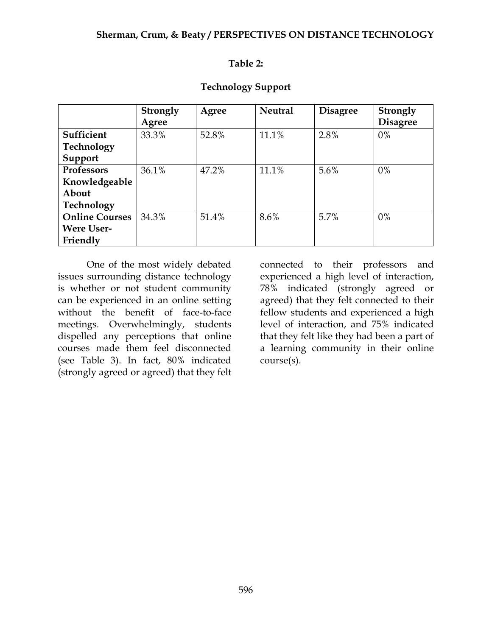#### **Table 2:**

| <b>Technology Support</b> |  |
|---------------------------|--|
|---------------------------|--|

|                       | <b>Strongly</b> | Agree | <b>Neutral</b> | <b>Disagree</b> | <b>Strongly</b> |
|-----------------------|-----------------|-------|----------------|-----------------|-----------------|
|                       | Agree           |       |                |                 | <b>Disagree</b> |
| Sufficient            | 33.3%           | 52.8% | 11.1%          | 2.8%            | $0\%$           |
| Technology            |                 |       |                |                 |                 |
| Support               |                 |       |                |                 |                 |
| Professors            | 36.1%           | 47.2% | 11.1%          | 5.6%            | $0\%$           |
| Knowledgeable         |                 |       |                |                 |                 |
| About                 |                 |       |                |                 |                 |
| Technology            |                 |       |                |                 |                 |
| <b>Online Courses</b> | 34.3%           | 51.4% | 8.6%           | 5.7%            | $0\%$           |
| <b>Were User-</b>     |                 |       |                |                 |                 |
| Friendly              |                 |       |                |                 |                 |

 One of the most widely debated issues surrounding distance technology is whether or not student community can be experienced in an online setting without the benefit of face-to-face meetings. Overwhelmingly, students dispelled any perceptions that online courses made them feel disconnected (see Table 3). In fact, 80% indicated (strongly agreed or agreed) that they felt

connected to their professors and experienced a high level of interaction, 78% indicated (strongly agreed or agreed) that they felt connected to their fellow students and experienced a high level of interaction, and 75% indicated that they felt like they had been a part of a learning community in their online course(s).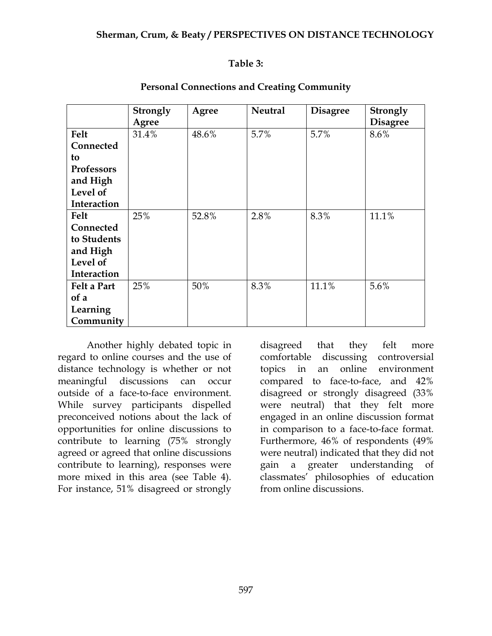#### **Table 3:**

|                    | <b>Strongly</b><br>Agree | Agree | <b>Neutral</b> | <b>Disagree</b> | Strongly<br><b>Disagree</b> |
|--------------------|--------------------------|-------|----------------|-----------------|-----------------------------|
| Felt               | 31.4%                    | 48.6% | 5.7%           | 5.7%            | 8.6%                        |
| Connected          |                          |       |                |                 |                             |
| to                 |                          |       |                |                 |                             |
| <b>Professors</b>  |                          |       |                |                 |                             |
| and High           |                          |       |                |                 |                             |
| Level of           |                          |       |                |                 |                             |
| Interaction        |                          |       |                |                 |                             |
| Felt               | 25%                      | 52.8% | 2.8%           | 8.3%            | 11.1%                       |
| Connected          |                          |       |                |                 |                             |
| to Students        |                          |       |                |                 |                             |
| and High           |                          |       |                |                 |                             |
| Level of           |                          |       |                |                 |                             |
| Interaction        |                          |       |                |                 |                             |
| <b>Felt a Part</b> | 25%                      | 50%   | 8.3%           | 11.1%           | 5.6%                        |
| of a               |                          |       |                |                 |                             |
| Learning           |                          |       |                |                 |                             |
| Community          |                          |       |                |                 |                             |

#### **Personal Connections and Creating Community**

 Another highly debated topic in regard to online courses and the use of distance technology is whether or not meaningful discussions can occur outside of a face-to-face environment. While survey participants dispelled preconceived notions about the lack of opportunities for online discussions to contribute to learning (75% strongly agreed or agreed that online discussions contribute to learning), responses were more mixed in this area (see Table 4). For instance, 51% disagreed or strongly

disagreed that they felt more comfortable discussing controversial topics in an online environment compared to face-to-face, and 42% disagreed or strongly disagreed (33% were neutral) that they felt more engaged in an online discussion format in comparison to a face-to-face format. Furthermore, 46% of respondents (49% were neutral) indicated that they did not gain a greater understanding of classmates' philosophies of education from online discussions.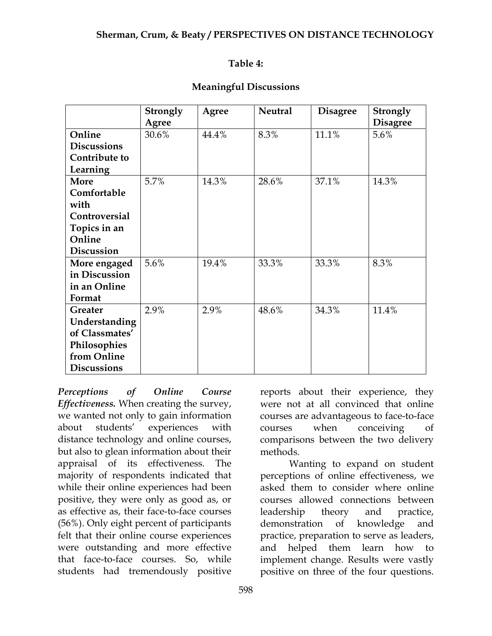#### **Table 4:**

|  | <b>Meaningful Discussions</b> |
|--|-------------------------------|
|--|-------------------------------|

|                    | Strongly | Agree | <b>Neutral</b> | <b>Disagree</b> | Strongly        |
|--------------------|----------|-------|----------------|-----------------|-----------------|
|                    | Agree    |       |                |                 | <b>Disagree</b> |
| Online             | 30.6%    | 44.4% | 8.3%           | 11.1%           | 5.6%            |
| <b>Discussions</b> |          |       |                |                 |                 |
| Contribute to      |          |       |                |                 |                 |
| Learning           |          |       |                |                 |                 |
| <b>More</b>        | 5.7%     | 14.3% | 28.6%          | 37.1%           | 14.3%           |
| Comfortable        |          |       |                |                 |                 |
| with               |          |       |                |                 |                 |
| Controversial      |          |       |                |                 |                 |
| Topics in an       |          |       |                |                 |                 |
| Online             |          |       |                |                 |                 |
| <b>Discussion</b>  |          |       |                |                 |                 |
| More engaged       | 5.6%     | 19.4% | 33.3%          | 33.3%           | 8.3%            |
| in Discussion      |          |       |                |                 |                 |
| in an Online       |          |       |                |                 |                 |
| Format             |          |       |                |                 |                 |
| Greater            | 2.9%     | 2.9%  | 48.6%          | 34.3%           | 11.4%           |
| Understanding      |          |       |                |                 |                 |
| of Classmates'     |          |       |                |                 |                 |
| Philosophies       |          |       |                |                 |                 |
| from Online        |          |       |                |                 |                 |
| <b>Discussions</b> |          |       |                |                 |                 |

*Perceptions of Online Course Effectiveness.* When creating the survey, we wanted not only to gain information about students' experiences with distance technology and online courses, but also to glean information about their appraisal of its effectiveness. The majority of respondents indicated that while their online experiences had been positive, they were only as good as, or as effective as, their face-to-face courses (56%). Only eight percent of participants felt that their online course experiences were outstanding and more effective that face-to-face courses. So, while students had tremendously positive

reports about their experience, they were not at all convinced that online courses are advantageous to face-to-face courses when conceiving of comparisons between the two delivery methods.

 Wanting to expand on student perceptions of online effectiveness, we asked them to consider where online courses allowed connections between leadership theory and practice, demonstration of knowledge and practice, preparation to serve as leaders, and helped them learn how to implement change. Results were vastly positive on three of the four questions.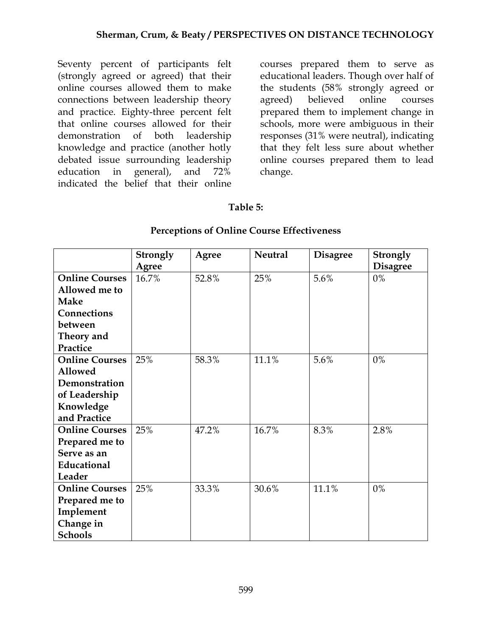Seventy percent of participants felt (strongly agreed or agreed) that their online courses allowed them to make connections between leadership theory and practice. Eighty-three percent felt that online courses allowed for their demonstration of both leadership knowledge and practice (another hotly debated issue surrounding leadership education in general), and 72% indicated the belief that their online

courses prepared them to serve as educational leaders. Though over half of the students (58% strongly agreed or agreed) believed online courses prepared them to implement change in schools, more were ambiguous in their responses (31% were neutral), indicating that they felt less sure about whether online courses prepared them to lead change.

## **Table 5:**

#### **Perceptions of Online Course Effectiveness**

|                       | Strongly | Agree | <b>Neutral</b> | <b>Disagree</b> | <b>Strongly</b> |
|-----------------------|----------|-------|----------------|-----------------|-----------------|
|                       | Agree    |       |                |                 | <b>Disagree</b> |
| <b>Online Courses</b> | 16.7%    | 52.8% | 25%            | 5.6%            | $0\%$           |
| Allowed me to         |          |       |                |                 |                 |
| <b>Make</b>           |          |       |                |                 |                 |
| Connections           |          |       |                |                 |                 |
| between               |          |       |                |                 |                 |
| Theory and            |          |       |                |                 |                 |
| Practice              |          |       |                |                 |                 |
| <b>Online Courses</b> | 25%      | 58.3% | 11.1%          | 5.6%            | $0\%$           |
| <b>Allowed</b>        |          |       |                |                 |                 |
| Demonstration         |          |       |                |                 |                 |
| of Leadership         |          |       |                |                 |                 |
| Knowledge             |          |       |                |                 |                 |
| and Practice          |          |       |                |                 |                 |
| <b>Online Courses</b> | 25%      | 47.2% | 16.7%          | 8.3%            | 2.8%            |
| Prepared me to        |          |       |                |                 |                 |
| Serve as an           |          |       |                |                 |                 |
| Educational           |          |       |                |                 |                 |
| Leader                |          |       |                |                 |                 |
| <b>Online Courses</b> | 25%      | 33.3% | 30.6%          | 11.1%           | $0\%$           |
| Prepared me to        |          |       |                |                 |                 |
| Implement             |          |       |                |                 |                 |
| Change in             |          |       |                |                 |                 |
| <b>Schools</b>        |          |       |                |                 |                 |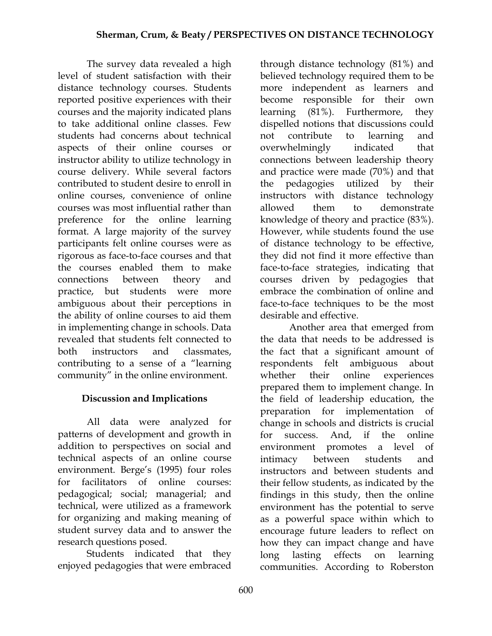The survey data revealed a high level of student satisfaction with their distance technology courses. Students reported positive experiences with their courses and the majority indicated plans to take additional online classes. Few students had concerns about technical aspects of their online courses or instructor ability to utilize technology in course delivery. While several factors contributed to student desire to enroll in online courses, convenience of online courses was most influential rather than preference for the online learning format. A large majority of the survey participants felt online courses were as rigorous as face-to-face courses and that the courses enabled them to make connections between theory and practice, but students were more ambiguous about their perceptions in the ability of online courses to aid them in implementing change in schools. Data revealed that students felt connected to both instructors and classmates, contributing to a sense of a "learning community" in the online environment.

# **Discussion and Implications**

All data were analyzed for patterns of development and growth in addition to perspectives on social and technical aspects of an online course environment. Berge's (1995) four roles for facilitators of online courses: pedagogical; social; managerial; and technical, were utilized as a framework for organizing and making meaning of student survey data and to answer the research questions posed.

Students indicated that they enjoyed pedagogies that were embraced

through distance technology (81%) and believed technology required them to be more independent as learners and become responsible for their own learning (81%). Furthermore, they dispelled notions that discussions could not contribute to learning and overwhelmingly indicated that connections between leadership theory and practice were made (70%) and that the pedagogies utilized by their instructors with distance technology allowed them to demonstrate knowledge of theory and practice (83%). However, while students found the use of distance technology to be effective, they did not find it more effective than face-to-face strategies, indicating that courses driven by pedagogies that embrace the combination of online and face-to-face techniques to be the most desirable and effective.

Another area that emerged from the data that needs to be addressed is the fact that a significant amount of respondents felt ambiguous about whether their online experiences prepared them to implement change. In the field of leadership education, the preparation for implementation of change in schools and districts is crucial for success. And, if the online environment promotes a level of intimacy between students and instructors and between students and their fellow students, as indicated by the findings in this study, then the online environment has the potential to serve as a powerful space within which to encourage future leaders to reflect on how they can impact change and have long lasting effects on learning communities. According to Roberston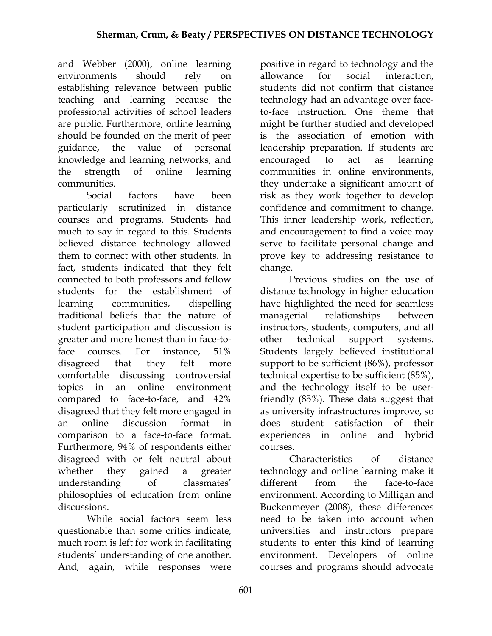and Webber (2000), online learning environments should rely on establishing relevance between public teaching and learning because the professional activities of school leaders are public. Furthermore, online learning should be founded on the merit of peer guidance, the value of personal knowledge and learning networks, and the strength of online learning communities.

Social factors have been particularly scrutinized in distance courses and programs. Students had much to say in regard to this. Students believed distance technology allowed them to connect with other students. In fact, students indicated that they felt connected to both professors and fellow students for the establishment of learning communities, dispelling traditional beliefs that the nature of student participation and discussion is greater and more honest than in face-toface courses. For instance, 51% disagreed that they felt more comfortable discussing controversial topics in an online environment compared to face-to-face, and 42% disagreed that they felt more engaged in an online discussion format in comparison to a face-to-face format. Furthermore, 94% of respondents either disagreed with or felt neutral about whether they gained a greater understanding of classmates' philosophies of education from online discussions.

While social factors seem less questionable than some critics indicate, much room is left for work in facilitating students' understanding of one another. And, again, while responses were

positive in regard to technology and the allowance for social interaction, students did not confirm that distance technology had an advantage over faceto-face instruction. One theme that might be further studied and developed is the association of emotion with leadership preparation. If students are encouraged to act as learning communities in online environments, they undertake a significant amount of risk as they work together to develop confidence and commitment to change. This inner leadership work, reflection, and encouragement to find a voice may serve to facilitate personal change and prove key to addressing resistance to change.

 Previous studies on the use of distance technology in higher education have highlighted the need for seamless managerial relationships between instructors, students, computers, and all other technical support systems. Students largely believed institutional support to be sufficient (86%), professor technical expertise to be sufficient (85%), and the technology itself to be userfriendly (85%). These data suggest that as university infrastructures improve, so does student satisfaction of their experiences in online and hybrid courses.

Characteristics of distance technology and online learning make it different from the face-to-face environment. According to Milligan and Buckenmeyer (2008), these differences need to be taken into account when universities and instructors prepare students to enter this kind of learning environment. Developers of online courses and programs should advocate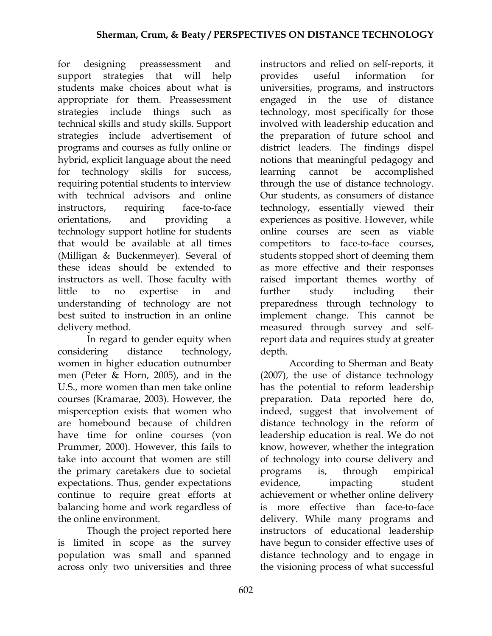for designing preassessment and support strategies that will help students make choices about what is appropriate for them. Preassessment strategies include things such technical skills and study skills. Support strategies include advertisement of programs and courses as fully online or hybrid, explicit language about the need for technology skills for success, requiring potential students to interview with technical advisors and online instructors, requiring face-to-face orientations, and providing a technology support hotline for students that would be available at all times (Milligan & Buckenmeyer). Several of these ideas should be extended to instructors as well. Those faculty with little to no expertise in and understanding of technology are not best suited to instruction in an online delivery method.

In regard to gender equity when considering distance technology, women in higher education outnumber men (Peter & Horn, 2005), and in the U.S., more women than men take online courses (Kramarae, 2003). However, the misperception exists that women who are homebound because of children have time for online courses (von Prummer, 2000). However, this fails to take into account that women are still the primary caretakers due to societal expectations. Thus, gender expectations continue to require great efforts at balancing home and work regardless of the online environment.

Though the project reported here is limited in scope as the survey population was small and spanned across only two universities and three

instructors and relied on self-reports, it provides useful information for universities, programs, and instructors engaged in the use of distance technology, most specifically for those involved with leadership education and the preparation of future school and district leaders. The findings dispel notions that meaningful pedagogy and learning cannot be accomplished through the use of distance technology. Our students, as consumers of distance technology, essentially viewed their experiences as positive. However, while online courses are seen as viable competitors to face-to-face courses, students stopped short of deeming them as more effective and their responses raised important themes worthy of further study including their preparedness through technology to implement change. This cannot be measured through survey and selfreport data and requires study at greater depth.

According to Sherman and Beaty (2007), the use of distance technology has the potential to reform leadership preparation. Data reported here do, indeed, suggest that involvement of distance technology in the reform of leadership education is real. We do not know, however, whether the integration of technology into course delivery and programs is, through empirical evidence, impacting student achievement or whether online delivery is more effective than face-to-face delivery. While many programs and instructors of educational leadership have begun to consider effective uses of distance technology and to engage in the visioning process of what successful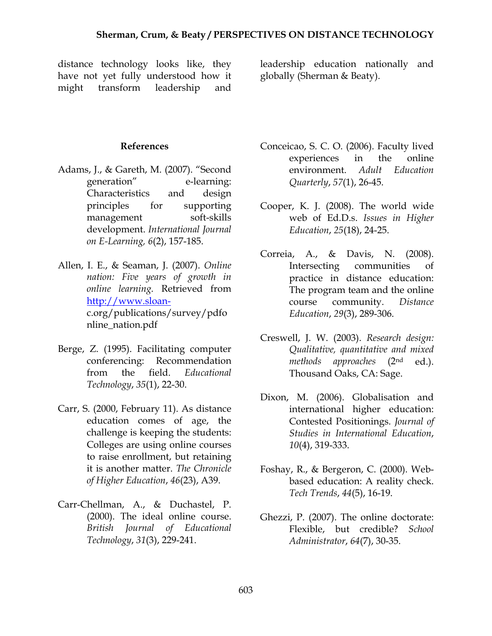distance technology looks like, they have not yet fully understood how it might transform leadership and

leadership education nationally and globally (Sherman & Beaty).

#### **References**

- Adams, J., & Gareth, M. (2007). "Second generation" e-learning: Characteristics and design principles for supporting management soft-skills development. *International Journal on E-Learning, 6*(2), 157-185.
- Allen, I. E., & Seaman, J. (2007). *Online nation: Five years of growth in online learning.* Retrieved from http://www.sloanc.org/publications/survey/pdfo nline\_nation.pdf
- Berge, Z. (1995). Facilitating computer conferencing: Recommendation from the field. *Educational Technology*, *35*(1), 22-30.
- Carr, S. (2000, February 11). As distance education comes of age, the challenge is keeping the students: Colleges are using online courses to raise enrollment, but retaining it is another matter. *The Chronicle of Higher Education*, *46*(23), A39.
- Carr-Chellman, A., & Duchastel, P. (2000). The ideal online course. *British Journal of Educational Technology*, *31*(3), 229-241.
- Conceicao, S. C. O. (2006). Faculty lived experiences in the online environment. *Adult Education Quarterly*, *57*(1), 26-45.
- Cooper, K. J. (2008). The world wide web of Ed.D.s. *Issues in Higher Education*, *25*(18), 24-25.
- Correia, A., & Davis, N. (2008). Intersecting communities of practice in distance education: The program team and the online course community. *Distance Education*, *29*(3), 289-306.
- Creswell, J. W. (2003). *Research design: Qualitative, quantitative and mixed methods approaches* (2nd ed.). Thousand Oaks, CA: Sage.
- Dixon, M. (2006). Globalisation and international higher education: Contested Positionings. *Journal of Studies in International Education*, *10*(4), 319-333.
- Foshay, R., & Bergeron, C. (2000). Webbased education: A reality check. *Tech Trends*, *44*(5), 16-19.
- Ghezzi, P. (2007). The online doctorate: Flexible, but credible? *School Administrator*, *64*(7), 30-35.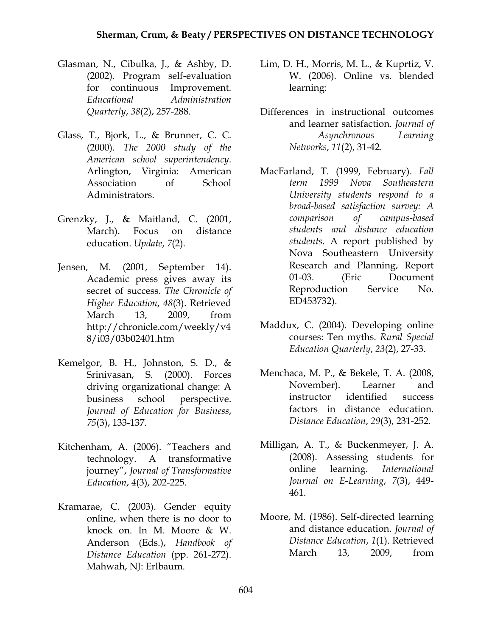- Glasman, N., Cibulka, J., & Ashby, D. (2002). Program self-evaluation for continuous Improvement. *Educational Administration Quarterly*, *38*(2), 257-288.
- Glass, T., Bjork, L., & Brunner, C. C. (2000). *The 2000 study of the American school superintendency*. Arlington, Virginia: American Association of School Administrators.
- Grenzky, J., & Maitland, C. (2001, March). Focus on distance education. *Update*, *7*(2).
- Jensen, M. (2001, September 14). Academic press gives away its secret of success. *The Chronicle of Higher Education*, *48*(3). Retrieved March 13, 2009, from http://chronicle.com/weekly/v4 8/i03/03b02401.htm
- Kemelgor, B. H., Johnston, S. D., & Srinivasan, S. (2000). Forces driving organizational change: A business school perspective. *Journal of Education for Business*, *75*(3), 133-137.
- Kitchenham, A. (2006). "Teachers and technology. A transformative journey", *Journal of Transformative Education*, *4*(3), 202-225.
- Kramarae, C. (2003). Gender equity online, when there is no door to knock on. In M. Moore & W. Anderson (Eds.), *Handbook of Distance Education* (pp. 261-272). Mahwah, NJ: Erlbaum.
- Lim, D. H., Morris, M. L., & Kuprtiz, V. W. (2006). Online vs. blended learning:
- Differences in instructional outcomes and learner satisfaction. *Journal of Asynchronous Learning Networks*, *11*(2), 31-42.
- MacFarland, T. (1999, February). *Fall term 1999 Nova Southeastern University students respond to a broad-based satisfaction survey: A comparison of campus-based students and distance education students.* A report published by Nova Southeastern University Research and Planning, Report 01-03. (Eric Document Reproduction Service No. ED453732).
- Maddux, C. (2004). Developing online courses: Ten myths. *Rural Special Education Quarterly*, *23*(2), 27-33.
- Menchaca, M. P., & Bekele, T. A. (2008, November). Learner and instructor identified success factors in distance education. *Distance Education*, *29*(3), 231-252.
- Milligan, A. T., & Buckenmeyer, J. A. (2008). Assessing students for online learning. *International Journal on E-Learning*, *7*(3), 449- 461.
- Moore, M. (1986). Self-directed learning and distance education. *Journal of Distance Education*, *1*(1). Retrieved March 13, 2009, from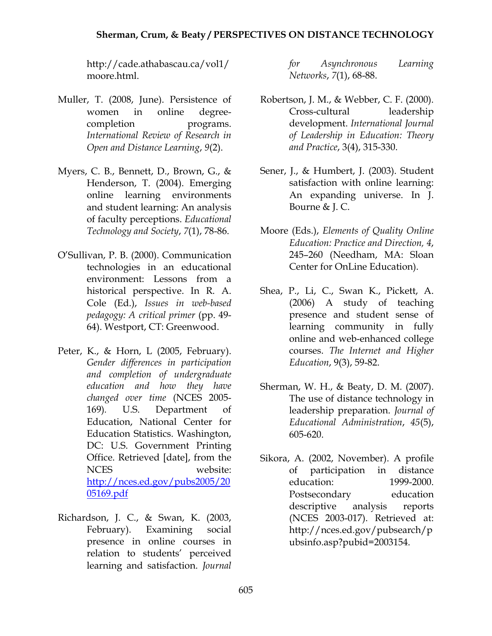http://cade.athabascau.ca/vol1/ moore.html.

- Muller, T. (2008, June). Persistence of women in online degreecompletion programs. *International Review of Research in Open and Distance Learning*, *9*(2).
- Myers, C. B., Bennett, D., Brown, G., & Henderson, T. (2004). Emerging online learning environments and student learning: An analysis of faculty perceptions. *Educational Technology and Society*, *7*(1), 78-86.
- O'Sullivan, P. B. (2000). Communication technologies in an educational environment: Lessons from a historical perspective. In R. A. Cole (Ed.), *Issues in web-based pedagogy: A critical primer* (pp. 49- 64). Westport, CT: Greenwood.
- Peter, K., & Horn, L (2005, February). *Gender differences in participation and completion of undergraduate education and how they have changed over time* (NCES 2005- 169)*.* U.S. Department of Education, National Center for Education Statistics. Washington, DC: U.S. Government Printing Office. Retrieved [date], from the NCES website: http://nces.ed.gov/pubs2005/20 05169.pdf
- Richardson, J. C., & Swan, K. (2003, February). Examining social presence in online courses in relation to students' perceived learning and satisfaction. *Journal*

*for Asynchronous Learning Networks*, *7*(1), 68-88.

- Robertson, J. M., & Webber, C. F. (2000). Cross-cultural leadership development. *International Journal of Leadership in Education: Theory and Practice*, 3(4), 315-330.
- Sener, J., & Humbert, J. (2003). Student satisfaction with online learning: An expanding universe. In J. Bourne & J. C.
- Moore (Eds.), *Elements of Quality Online Education: Practice and Direction, 4*, 245–260 (Needham, MA: Sloan Center for OnLine Education).
- Shea, P., Li, C., Swan K., Pickett, A. (2006) A study of teaching presence and student sense of learning community in fully online and web-enhanced college courses. *The Internet and Higher Education*, 9(3), 59-82.
- Sherman, W. H., & Beaty, D. M. (2007). The use of distance technology in leadership preparation. *Journal of Educational Administration*, *45*(5), 605-620.
- Sikora, A. (2002, November). A profile of participation in distance education: 1999-2000. Postsecondary education descriptive analysis reports (NCES 2003-017). Retrieved at: http://nces.ed.gov/pubsearch/p ubsinfo.asp?pubid=2003154.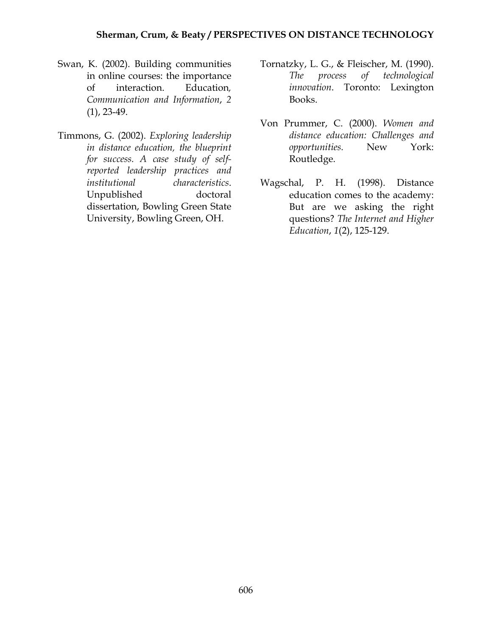- Swan, K. (2002). Building communities in online courses: the importance of interaction. Education*, Communication and Information*, *2*  (1), 23-49.
- Timmons, G. (2002). *Exploring leadership in distance education, the blueprint for success. A case study of selfreported leadership practices and institutional characteristics*. Unpublished doctoral dissertation, Bowling Green State University, Bowling Green, OH.
- Tornatzky, L. G., & Fleischer, M. (1990). *The process of technological innovation*. Toronto: Lexington Books.
- Von Prummer, C. (2000). *Women and distance education: Challenges and opportunities.* New York: Routledge.
- Wagschal, P. H. (1998). Distance education comes to the academy: But are we asking the right questions? *The Internet and Higher Education*, *1*(2), 125-129.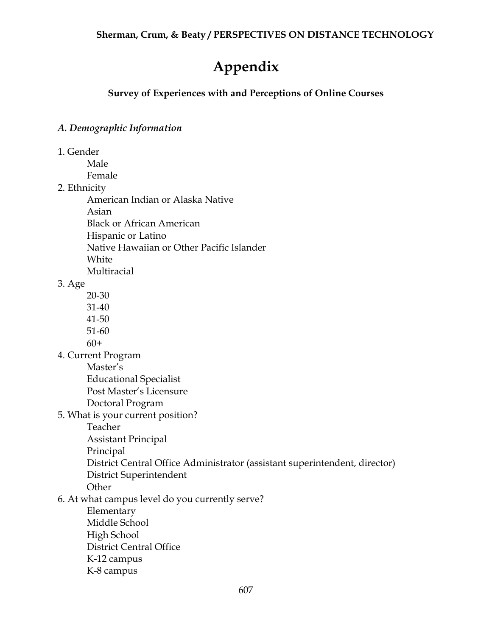# **Appendix**

# **Survey of Experiences with and Perceptions of Online Courses**

# *A. Demographic Information*

1. Gender

 Male Female

2. Ethnicity

American Indian or Alaska Native

Asian

Black or African American

Hispanic or Latino

Native Hawaiian or Other Pacific Islander

White

Multiracial

3. Age

- 20-30
- 31-40
- 41-50
- 51-60

 $60+$ 

4. Current Program

Master's

Educational Specialist

Post Master's Licensure

- Doctoral Program
- 5. What is your current position?
	- Teacher

Assistant Principal

Principal

District Central Office Administrator (assistant superintendent, director)

District Superintendent

**Other** 

6. At what campus level do you currently serve?

 Elementary Middle School High School District Central Office K-12 campus K-8 campus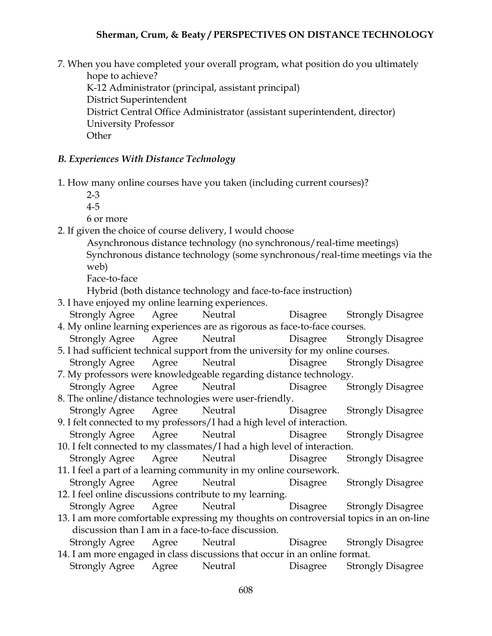7. When you have completed your overall program, what position do you ultimately hope to achieve? K-12 Administrator (principal, assistant principal) District Superintendent District Central Office Administrator (assistant superintendent, director) University Professor **Other** 

#### *B. Experiences With Distance Technology*

- 1. How many online courses have you taken (including current courses)?
	- 2-3
	- 4-5

6 or more

- 2. If given the choice of course delivery, I would choose
	- Asynchronous distance technology (no synchronous/real-time meetings) Synchronous distance technology (some synchronous/real-time meetings via the web)

Face-to-face

Hybrid (both distance technology and face-to-face instruction)

- 3. I have enjoyed my online learning experiences.
- Strongly Agree Agree Neutral Disagree Strongly Disagree 4. My online learning experiences are as rigorous as face-to-face courses.
- Strongly Agree Agree Neutral Disagree Strongly Disagree 5. I had sufficient technical support from the university for my online courses.
- Strongly Agree Agree Neutral Disagree Strongly Disagree 7. My professors were knowledgeable regarding distance technology.
- Strongly Agree Agree Neutral Disagree Strongly Disagree 8. The online/distance technologies were user-friendly.
- Strongly Agree Agree Neutral Disagree Strongly Disagree 9. I felt connected to my professors/I had a high level of interaction.
- Strongly Agree Agree Neutral Disagree Strongly Disagree 10. I felt connected to my classmates/I had a high level of interaction.
- Strongly Agree Agree Neutral Disagree Strongly Disagree 11. I feel a part of a learning community in my online coursework.
- Strongly Agree Agree Neutral Disagree Strongly Disagree 12. I feel online discussions contribute to my learning.
	- Strongly Agree Agree Neutral Disagree Strongly Disagree
- 13. I am more comfortable expressing my thoughts on controversial topics in an on-line discussion than I am in a face-to-face discussion.
- Strongly Agree Agree Neutral Disagree Strongly Disagree 14. I am more engaged in class discussions that occur in an online format.
- Strongly Agree Agree Neutral Disagree Strongly Disagree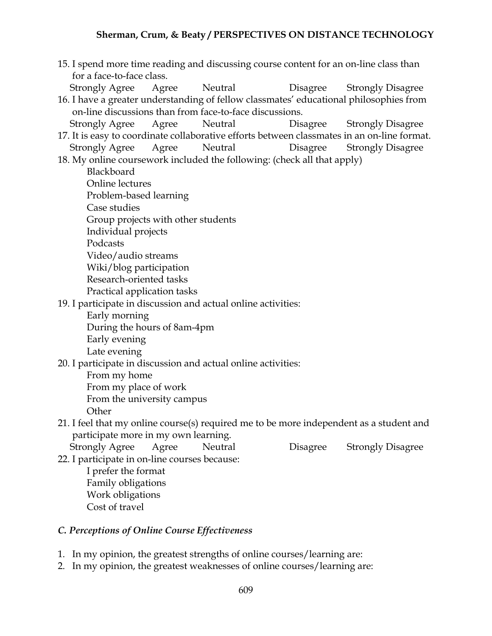15. I spend more time reading and discussing course content for an on-line class than for a face-to-face class. Strongly Agree Agree Neutral Disagree Strongly Disagree 16. I have a greater understanding of fellow classmates' educational philosophies from on-line discussions than from face-to-face discussions. Strongly Agree Agree Neutral Disagree Strongly Disagree 17. It is easy to coordinate collaborative efforts between classmates in an on-line format. Strongly Agree Agree Neutral Disagree Strongly Disagree 18. My online coursework included the following: (check all that apply) **Blackboard**  Online lectures Problem-based learning Case studies Group projects with other students Individual projects Podcasts Video/audio streams Wiki/blog participation Research-oriented tasks Practical application tasks 19. I participate in discussion and actual online activities: Early morning During the hours of 8am-4pm Early evening Late evening 20. I participate in discussion and actual online activities: From my home From my place of work From the university campus **Other** 21. I feel that my online course(s) required me to be more independent as a student and participate more in my own learning. Strongly Agree Agree Neutral Disagree Strongly Disagree 22. I participate in on-line courses because: I prefer the format Family obligations Work obligations Cost of travel

#### *C. Perceptions of Online Course Effectiveness*

- 1. In my opinion, the greatest strengths of online courses/learning are:
- 2. In my opinion, the greatest weaknesses of online courses/learning are: